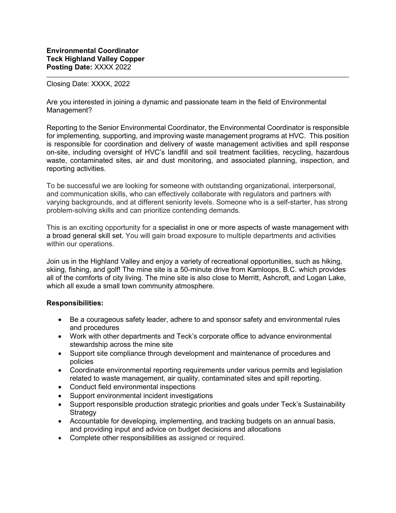## Closing Date: XXXX, 2022

Are you interested in joining a dynamic and passionate team in the field of Environmental Management?

Reporting to the Senior Environmental Coordinator, the Environmental Coordinator is responsible for implementing, supporting, and improving waste management programs at HVC. This position is responsible for coordination and delivery of waste management activities and spill response on-site, including oversight of HVC's landfill and soil treatment facilities, recycling, hazardous waste, contaminated sites, air and dust monitoring, and associated planning, inspection, and reporting activities.

To be successful we are looking for someone with outstanding organizational, interpersonal, and communication skills, who can effectively collaborate with regulators and partners with varying backgrounds, and at different seniority levels. Someone who is a self-starter, has strong problem-solving skills and can prioritize contending demands.

This is an exciting opportunity for a specialist in one or more aspects of waste management with a broad general skill set. You will gain broad exposure to multiple departments and activities within our operations.

Join us in the Highland Valley and enjoy a variety of recreational opportunities, such as hiking, skiing, fishing, and golf! The mine site is a 50-minute drive from Kamloops, B.C. which provides all of the comforts of city living. The mine site is also close to Merritt, Ashcroft, and Logan Lake, which all exude a small town community atmosphere.

## **Responsibilities:**

- Be a courageous safety leader, adhere to and sponsor safety and environmental rules and procedures
- Work with other departments and Teck's corporate office to advance environmental stewardship across the mine site
- Support site compliance through development and maintenance of procedures and policies
- Coordinate environmental reporting requirements under various permits and legislation related to waste management, air quality, contaminated sites and spill reporting.
- Conduct field environmental inspections
- Support environmental incident investigations
- Support responsible production strategic priorities and goals under Teck's Sustainability **Strategy**
- Accountable for developing, implementing, and tracking budgets on an annual basis, and providing input and advice on budget decisions and allocations
- Complete other responsibilities as assigned or required.